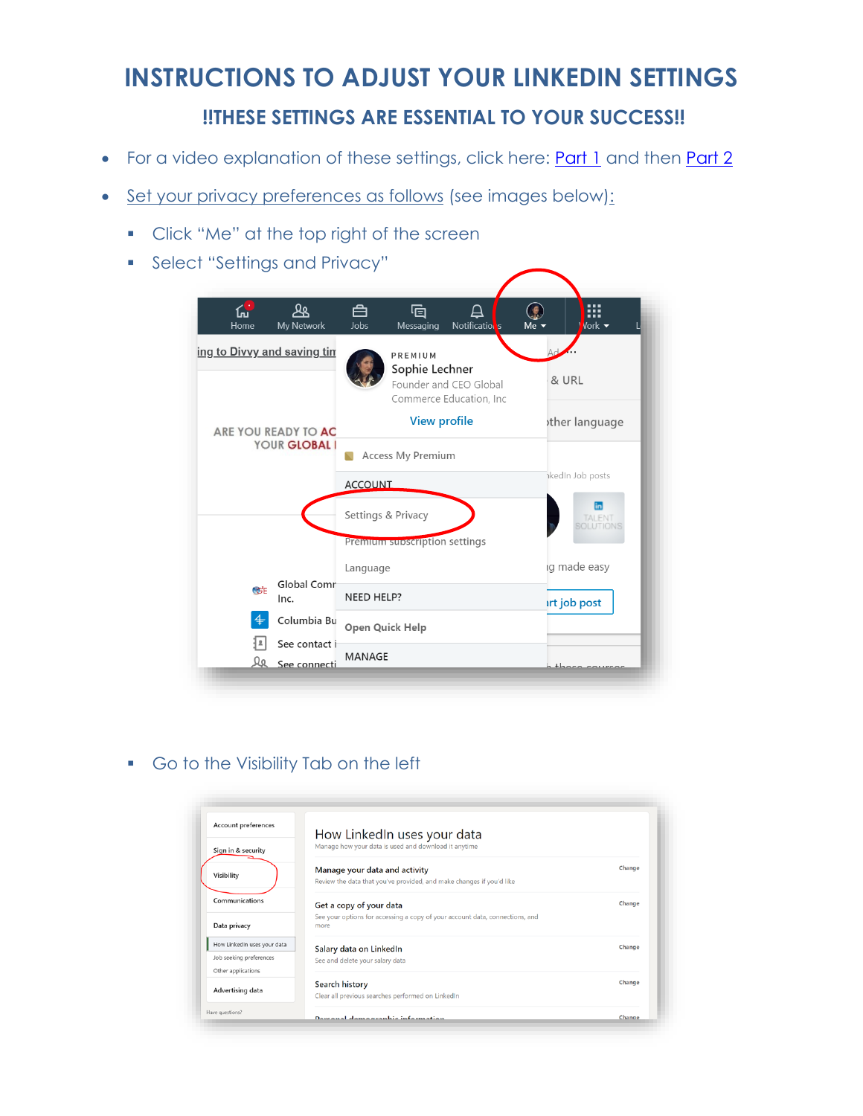## **INSTRUCTIONS TO ADJUST YOUR LINKEDIN SETTINGS !!THESE SETTINGS ARE ESSENTIAL TO YOUR SUCCESS!!**

- For a video explanation of these settings, click here: **Part 1** and then **Part 2**
- Set your privacy preferences as follows (see images below):
	- Click "Me" at the top right of the screen
	- Select "Settings and Privacy"

| <u>ርግ</u><br>Home                                                          | ஆ<br>My Network               | 甴<br>Jobs                           | 叵<br>Messaging                                             | Notification <sub>s</sub>                         | Me $\blacktriangledown$ | m<br>Vork v         |
|----------------------------------------------------------------------------|-------------------------------|-------------------------------------|------------------------------------------------------------|---------------------------------------------------|-------------------------|---------------------|
| ing to Divvy and saving tin<br>ARE YOU READY TO AC<br><b>YOUR GLOBAL I</b> |                               |                                     | PREMIUM<br>Sophie Lechner<br><b>View profile</b>           | Founder and CEO Global<br>Commerce Education, Inc | & URL                   | ther language       |
|                                                                            |                               | Access My Premium<br><b>ACCOUNT</b> |                                                            |                                                   | akedIn Job posts        |                     |
|                                                                            |                               |                                     | Settings & Privacy<br><b>Premium supscription settings</b> |                                                   |                         | in<br><b>TALENT</b> |
|                                                                            |                               | Language                            |                                                            |                                                   |                         | ig made easy        |
| CGF                                                                        | <b>Global Comr</b><br>Inc.    | <b>NEED HELP?</b>                   |                                                            |                                                   |                         | irt job post        |
|                                                                            | Columbia Bu                   |                                     | Open Quick Help                                            |                                                   |                         |                     |
| ┨≗<br>le                                                                   | See contact i<br>See connecti | MANAGE                              |                                                            |                                                   |                         | those courses       |

## ▪ Go to the Visibility Tab on the left

| Account preferences         | How LinkedIn uses your data                                                                           |        |
|-----------------------------|-------------------------------------------------------------------------------------------------------|--------|
| Sign in & security          | Manage how your data is used and download it anytime                                                  |        |
| Visibility                  | Manage your data and activity<br>Review the data that you've provided, and make changes if you'd like | Change |
| Communications              | Get a copy of your data                                                                               | Change |
| Data privacy                | See your options for accessing a copy of your account data, connections, and<br>more                  |        |
| How LinkedIn uses your data | Salary data on LinkedIn                                                                               | Change |
| Job seeking preferences     | See and delete your salary data                                                                       |        |
| Other applications          |                                                                                                       |        |
| Advertising data            | <b>Search history</b><br>Clear all previous searches performed on LinkedIn                            | Change |
| Have questions?             | <b>Dorconal domographic information</b>                                                               | Change |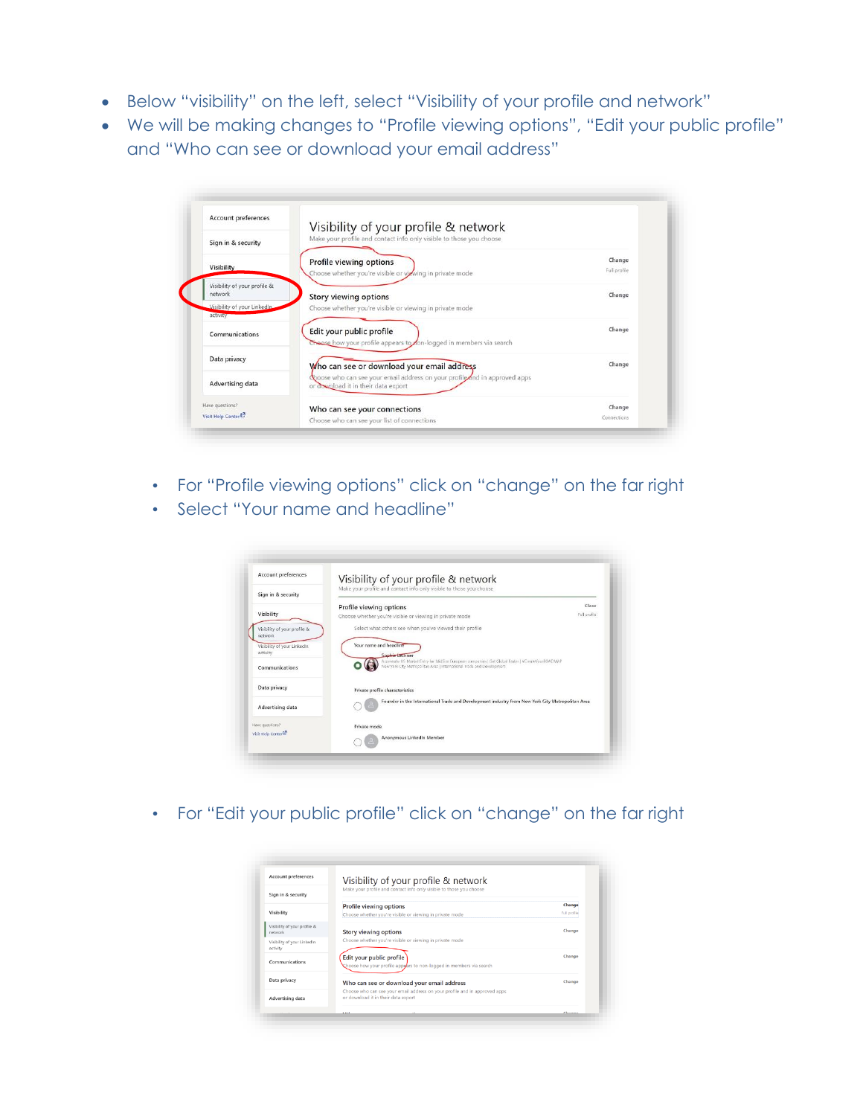- Below "visibility" on the left, select "Visibility of your profile and network"
- We will be making changes to "Profile viewing options", "Edit your public profile" and "Who can see or download your email address"

| Account preferences                     | Visibility of your profile & network                                                                             |                        |
|-----------------------------------------|------------------------------------------------------------------------------------------------------------------|------------------------|
| Sign in & security                      | Make your profile and contact info only visible to those you choose                                              |                        |
| Visibility                              | Profile viewing options<br>Choose whether you're visible or viewing in private mode                              | Change<br>Full profile |
| Visibility of your profile &<br>network | <b>Story viewing options</b>                                                                                     | Change                 |
| Visibility of your LinkedIn<br>activity | Choose whether you're visible or viewing in private mode                                                         |                        |
| Communications                          | Edit your public profile<br>theose how your profile appears to n-logged in members via search                    | Change                 |
| Data privacy                            | Who can see or download your email address                                                                       | Change                 |
| Advertising data                        | hoose who can see your email address on your profile and in approved apps<br>or download it in their data export |                        |
| Have questions?                         | Who can see your connections                                                                                     | Change                 |
| Visit Help Center <sup>12</sup>         | Choose who can see your list of connections                                                                      | Connections            |

- For "Profile viewing options" click on "change" on the far right
- Select "Your name and headline"

| Sign in & security                                 | Visibility of your profile & network<br>Make your profile and contact info only visible to those you choose                                                                  |              |
|----------------------------------------------------|------------------------------------------------------------------------------------------------------------------------------------------------------------------------------|--------------|
|                                                    |                                                                                                                                                                              | Close        |
| Visibility                                         | Profile viewing options<br>Choose whether you're visible or viewing in private mode                                                                                          | Full profile |
| Visibility of your profile &<br>network            | Select what others see when you've viewed their profile                                                                                                                      |              |
| Visibility of your Linkedin<br>activity            | Your name and headline<br>Sophie techner                                                                                                                                     |              |
| Communications                                     | Accelerate US Market Entry for MidSize European companies   Get Global Faster   #Create/tourROADMAP<br>New York City Metropolitan Area   International Irade and Development |              |
| Data privacy                                       | Private profile characteristics                                                                                                                                              |              |
| Advertising data                                   | Founder in the International Trade and Development industry from New York City Metropolitan Area                                                                             |              |
| Have questions?<br>Visit Help Center <sup>12</sup> | Private mode                                                                                                                                                                 |              |
|                                                    | Anonymous LinkedIn Member                                                                                                                                                    |              |

• For "Edit your public profile" click on "change" on the far right

| Account preferences                     | Visibility of your profile & network                                                                              |              |
|-----------------------------------------|-------------------------------------------------------------------------------------------------------------------|--------------|
| Sign in & security                      | Make your profile and contact info only visible to those you choose                                               |              |
|                                         | Profile viewing options                                                                                           | Change       |
| Visibility                              | Choose whether you're visible or viewing in private mode                                                          | Full profile |
| Visibility of your profile &<br>network | <b>Story viewing options</b>                                                                                      | Change       |
| Visibility of your LinkedIn<br>activity | Choose whether you're visible or viewing in private mode                                                          |              |
| Communications                          | Edit your public profile<br>Choose how your profile appoars to non-logged in members via search                   | Change       |
| Data privacy                            | Who can see or download your email address                                                                        | Change       |
| Advertising data                        | Choose who can see your email address on your profile and in approved apps<br>or download it in their data export |              |
|                                         | 1.11<br>. .                                                                                                       | Change       |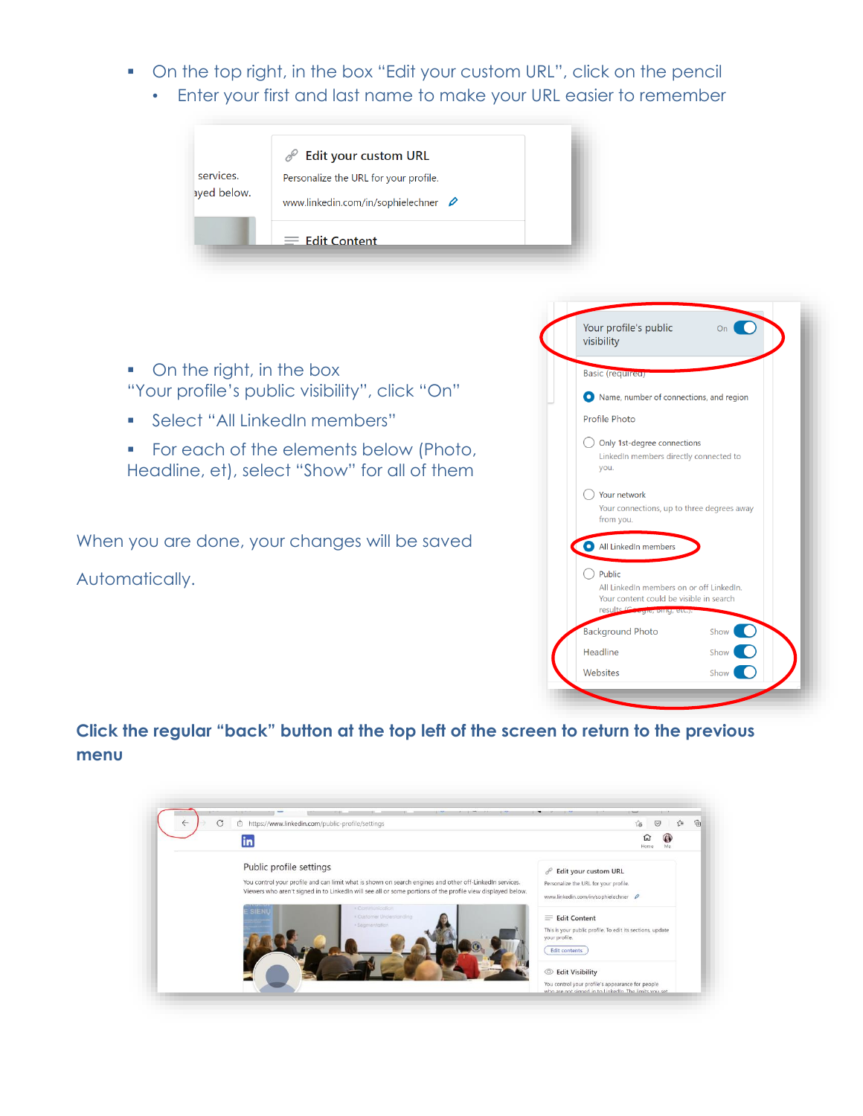- On the top right, in the box "Edit your custom URL", click on the pencil
	- Enter your first and last name to make your URL easier to remember

| services.<br>ayed below. | Edit your custom URL<br>8<br>Personalize the URL for your profile.<br>www.linkedin.com/in/sophielechner |  |
|--------------------------|---------------------------------------------------------------------------------------------------------|--|
|                          | $\equiv$ Edit Content                                                                                   |  |

- On the right, in the box "Your profile's public visibility", click "On"
- Select "All LinkedIn members"
- For each of the elements below (Photo, Headline, et), select "Show" for all of them

When you are done, your changes will be saved Automatically.



**Click the regular "back" button at the top left of the screen to return to the previous menu**

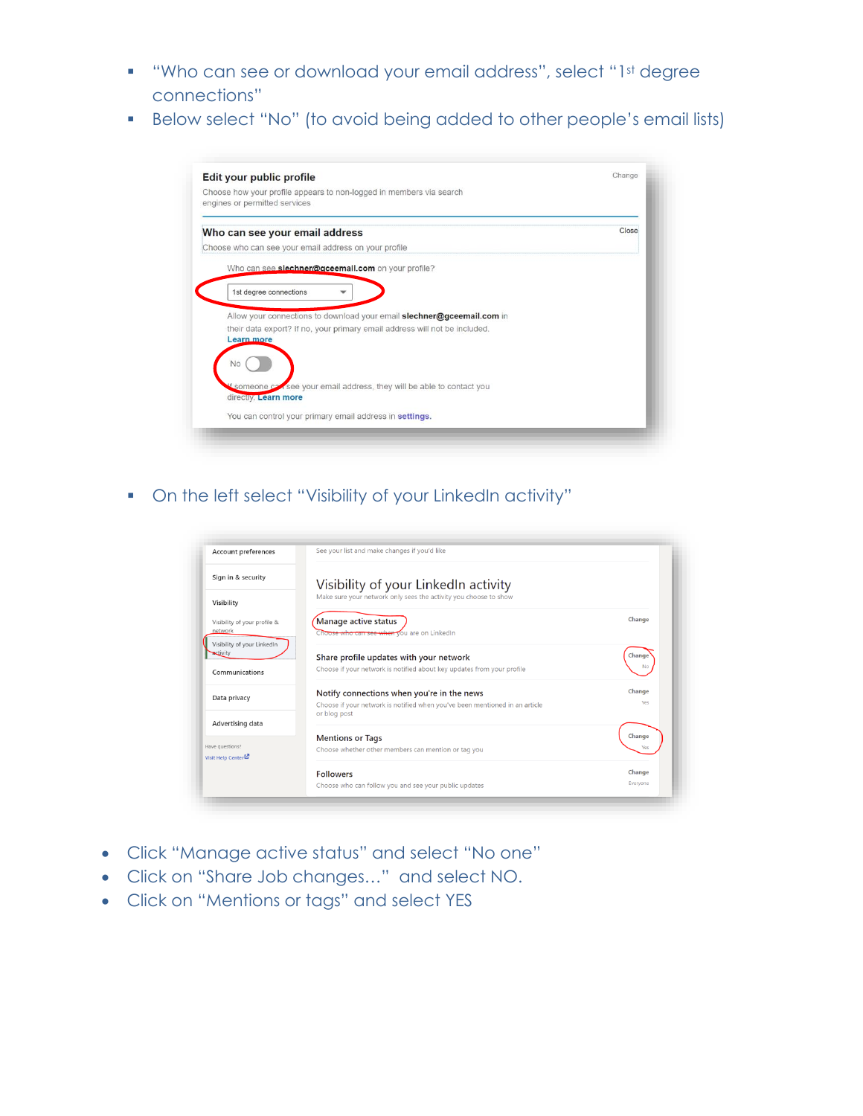- "Who can see or download your email address", select "1st degree connections"
- Below select "No" (to avoid being added to other people's email lists)

| Choose how your profile appears to non-logged in members via search<br>engines or permitted services |       |
|------------------------------------------------------------------------------------------------------|-------|
| Who can see your email address                                                                       | Close |
| Choose who can see your email address on your profile                                                |       |
| Who can see slechner@gceemail.com on your profile?                                                   |       |
| 1st degree connections                                                                               |       |
| Allow your connections to download your email slechner@gceemail.com in                               |       |
| their data export? If no, your primary email address will not be included.                           |       |
| Learn more                                                                                           |       |
| Nο                                                                                                   |       |
| someone consee your email address, they will be able to contact you                                  |       |
| directly. Learn more                                                                                 |       |
|                                                                                                      |       |

▪ On the left select "Visibility of your LinkedIn activity"



- Click "Manage active status" and select "No one"
- Click on "Share Job changes…" and select NO.
- Click on "Mentions or tags" and select YES